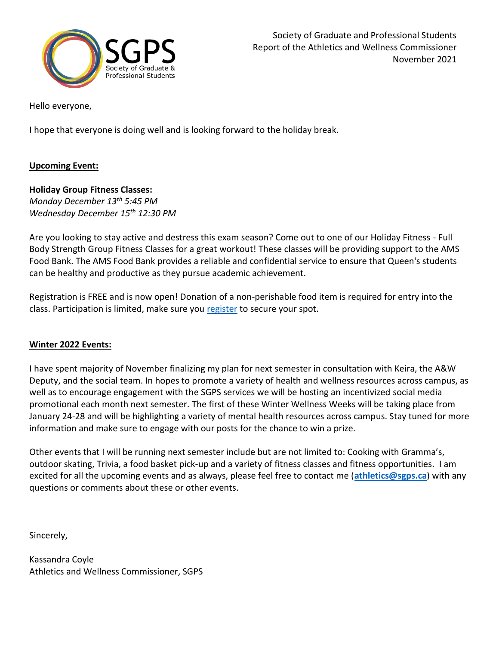

Hello everyone,

I hope that everyone is doing well and is looking forward to the holiday break.

## **Upcoming Event:**

## **Holiday Group Fitness Classes:**

*Monday December 13th 5:45 PM Wednesday December 15th 12:30 PM*

Are you looking to stay active and destress this exam season? Come out to one of our Holiday Fitness - Full Body Strength Group Fitness Classes for a great workout! These classes will be providing support to the AMS Food Bank. The AMS Food Bank provides a reliable and confidential service to ensure that Queen's students can be healthy and productive as they pursue academic achievement.

Registration is FREE and is now open! Donation of a non-perishable food item is required for entry into the class. Participation is limited, make sure you [register](https://getactive.gogaelsgo.com/Program/GetProgramDetails?courseId=4f26ec1f-a503-4334-bece-9f4d519c392a&semesterId=4726868d-532e-4baa-b56c-713fa5dd45d1) to secure your spot.

### **Winter 2022 Events:**

I have spent majority of November finalizing my plan for next semester in consultation with Keira, the A&W Deputy, and the social team. In hopes to promote a variety of health and wellness resources across campus, as well as to encourage engagement with the SGPS services we will be hosting an incentivized social media promotional each month next semester. The first of these Winter Wellness Weeks will be taking place from January 24-28 and will be highlighting a variety of mental health resources across campus. Stay tuned for more information and make sure to engage with our posts for the chance to win a prize.

Other events that I will be running next semester include but are not limited to: Cooking with Gramma's, outdoor skating, Trivia, a food basket pick-up and a variety of fitness classes and fitness opportunities. I am excited for all the upcoming events and as always, please feel free to contact me (**[athletics@sgps.ca](mailto:athletics@sgps.ca)**) with any questions or comments about these or other events.

Sincerely,

Kassandra Coyle Athletics and Wellness Commissioner, SGPS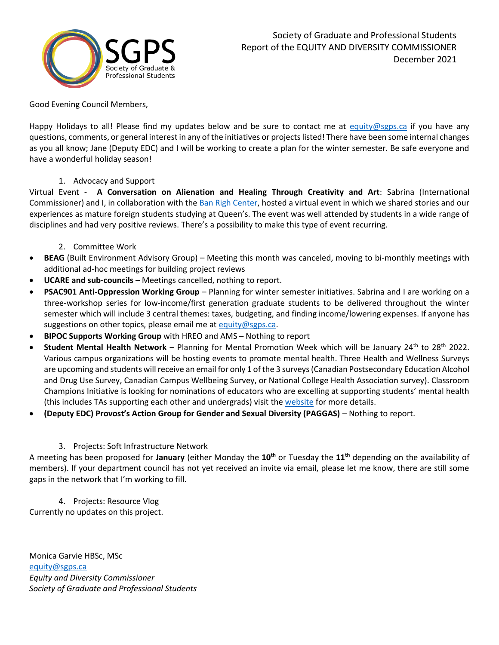

Good Evening Council Members,

Happy Holidays to all! Please find my updates below and be sure to contact me at [equity@sgps.ca](mailto:equity@sgps.ca) if you have any questions, comments, or general interest in any of the initiatives or projects listed! There have been some internal changes as you all know; Jane (Deputy EDC) and I will be working to create a plan for the winter semester. Be safe everyone and have a wonderful holiday season!

#### 1. Advocacy and Support

Virtual Event - **A Conversation on Alienation and Healing Through Creativity and Art**: Sabrina (International Commissioner) and I, in collaboration with th[e Ban Righ Center,](https://www.facebook.com/TheBanRighCentre) hosted a virtual event in which we shared stories and our experiences as mature foreign students studying at Queen's. The event was well attended by students in a wide range of disciplines and had very positive reviews. There's a possibility to make this type of event recurring.

#### 2. Committee Work

- **BEAG** (Built Environment Advisory Group) Meeting this month was canceled, moving to bi-monthly meetings with additional ad-hoc meetings for building project reviews
- **UCARE and sub-councils** Meetings cancelled, nothing to report.
- **PSAC901 Anti-Oppression Working Group** Planning for winter semester initiatives. Sabrina and I are working on a three-workshop series for low-income/first generation graduate students to be delivered throughout the winter semester which will include 3 central themes: taxes, budgeting, and finding income/lowering expenses. If anyone has suggestions on other topics, please email me at [equity@sgps.ca.](mailto:equity@sgps.ca)
- **BIPOC Supports Working Group** with HREO and AMS Nothing to report
- **Student Mental Health Network** Planning for Mental Promotion Week which will be January 24th to 28th 2022. Various campus organizations will be hosting events to promote mental health. Three Health and Wellness Surveys are upcoming and students will receive an email for only 1 of the 3 surveys (Canadian Postsecondary Education Alcohol and Drug Use Survey, Canadian Campus Wellbeing Survey, or National College Health Association survey). Classroom Champions Initiative is looking for nominations of educators who are excelling at supporting students' mental health (this includes TAs supporting each other and undergrads) visit th[e website](https://www.queensu.ca/campuswellnessproject/campus-participation/student-mental-health-network/classroom-champions-mental-health) for more details.
- **(Deputy EDC) Provost's Action Group for Gender and Sexual Diversity (PAGGAS)** Nothing to report.

#### 3. Projects: Soft Infrastructure Network

A meeting has been proposed for **January** (either Monday the **10th** or Tuesday the **11th** depending on the availability of members). If your department council has not yet received an invite via email, please let me know, there are still some gaps in the network that I'm working to fill.

# 4. Projects: Resource Vlog

Currently no updates on this project.

Monica Garvie HBSc, MSc [equity@sgps.ca](mailto:equity@sgps.ca) *Equity and Diversity Commissioner Society of Graduate and Professional Students*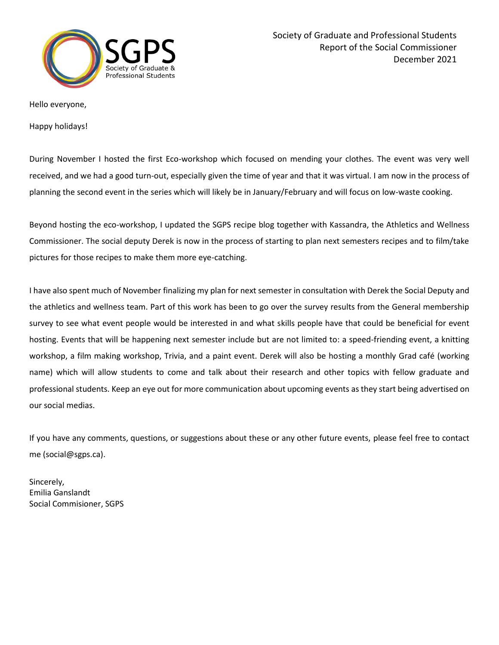

Hello everyone,

Happy holidays!

During November I hosted the first Eco-workshop which focused on mending your clothes. The event was very well received, and we had a good turn-out, especially given the time of year and that it was virtual. I am now in the process of planning the second event in the series which will likely be in January/February and will focus on low-waste cooking.

Beyond hosting the eco-workshop, I updated the SGPS recipe blog together with Kassandra, the Athletics and Wellness Commissioner. The social deputy Derek is now in the process of starting to plan next semesters recipes and to film/take pictures for those recipes to make them more eye-catching.

I have also spent much of November finalizing my plan for next semester in consultation with Derek the Social Deputy and the athletics and wellness team. Part of this work has been to go over the survey results from the General membership survey to see what event people would be interested in and what skills people have that could be beneficial for event hosting. Events that will be happening next semester include but are not limited to: a speed-friending event, a knitting workshop, a film making workshop, Trivia, and a paint event. Derek will also be hosting a monthly Grad café (working name) which will allow students to come and talk about their research and other topics with fellow graduate and professional students. Keep an eye out for more communication about upcoming events as they start being advertised on our social medias.

If you have any comments, questions, or suggestions about these or any other future events, please feel free to contact me (social@sgps.ca).

Sincerely, Emilia Ganslandt Social Commisioner, SGPS